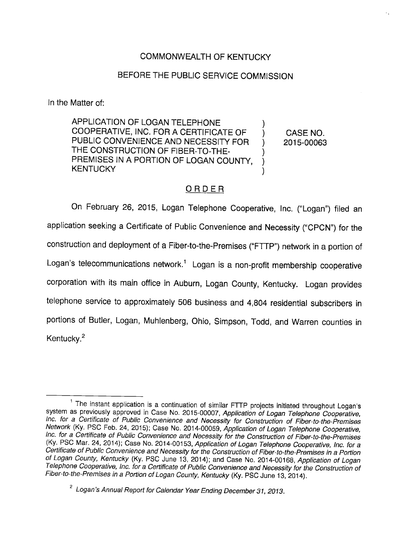## COMMONWEALTH OF KENTUCKY

## BEFORE THE PUBLIC SERVICE COMMISSION

In the Matter of:

APPLICATION OF LOGAN TELEPHONE COOPERATIVE, INC. FOR A CERTIFICATE OF  $\bigcirc$  CASE NO. PUBLIC CONVENIENCE AND NECESSITY FOR ) 2015-00063 THE CONSTRUCTION OF FIBER-TO-THE-PREMISES IN A PORTION OF LOGAN COUNTY, KENTUCKY

# ORDER

On February 26, 2015, Logan Telephone Cooperative, Inc. ("Logan") filed an application seeking a Certificate of Public Convenience and Necessity ("CPCN") for the construction and deployment of a Fiber-to-the-Premises ("FTTP") network in a portion of Logan's telecommunications network.<sup>1</sup> Logan is a non-profit membership cooperative corporation with its main office in Auburn, Logan County, Kentucky. Logan provides telephone service to approximately 506 business and 4,804 residential subscribers in portions of Butler, Logan, Muhlenberg, Ohio, Simpson, Todd, and Warren counties in Kentucky.<sup>2</sup>

 $1$  The instant application is a continuation of similar FTTP projects initiated throughout Logan's system as previously approved in Case No. 2015-00007, Application of Logan Telephone Cooperative, inc. for a Certificate of Pubiic Convenience and Necessity for Construction of Fiber-to-the-Premises Network (Ky. PSC Feb. 24, 2015); Case No. 2014-00059, Application of Logan Telephone Cooperative, Inc. for a Certificate of Public Convenience and Necessity for the Construction of Fiber-to-the-Premises (Ky. PSC Mar. 24, 2014); Case No. 2014-00153, Application of Logan Telephone Cooperative, Inc. for a Certificate of Public Convenience and Necessity for the Construction of Fiber-to-the-Premises in a Portion of Logan County, Kentucky (Ky. PSC June 13, 2014); and Case No. 2014-00168, Application of Logan Telephone Cooperative, Inc. for a Certificate of Public Convenience and Necessity for the Construction of Fiber-to-the-Premises in a Portion of Logan County, Kentucky (Ky. PSC June 13, 2014).

 $2$  Logan's Annual Report for Calendar Year Ending December 31, 2013.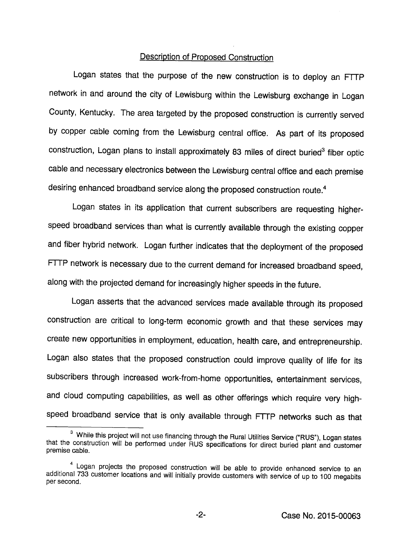### Description of Proposed Construction

Logan states that the purpose of the new construction is to deploy an FTTP network in and around the city of Lewisburg within the Lewisburg exchange in Logan County, Kentucky. The area targeted by the proposed construction is currently served by copper cable coming from the Lewisburg central office. As part of its proposed construction, Logan plans to install approximately 83 miles of direct buried<sup>3</sup> fiber optic cable and necessary electronics between the Lewisburg central office and each premise desiring enhanced broadband service along the proposed construction route.<sup>4</sup>

Logan states in its application that current subscribers are requesting higherspeed broadband services than what is currently available through the existing copper and fiber hybrid network. Logan further indicates that the deployment of the proposed FTTP network is necessary due to the current demand for increased broadband speed, along with the projected demand for increasingly higher speeds in the future.

Logan asserts that the advanced services made available through its proposed construction are critical to long-term economic growth and that these services may create new opportunities in employment, education, health care, and entrepreneurship. Logan also states that the proposed construction could improve quality of life for its subscribers through increased work-from-home opportunities, entertainment services, and cloud computing capabilities, as well as other offerings which require very high speed broadband service that is only available through FTTP networks such as that

<sup>&</sup>lt;sup>3</sup> While this project will not use financing through the Rural Utilities Service ("RUS"), Logan states that the construction will be performed under RUS specifications for direct buried plant and customer premise cable.

Logan projects the proposed construction will be able to provide enhanced service to an additional 733 customer locations and will initially provide customers with service of up to 100 megabits per second.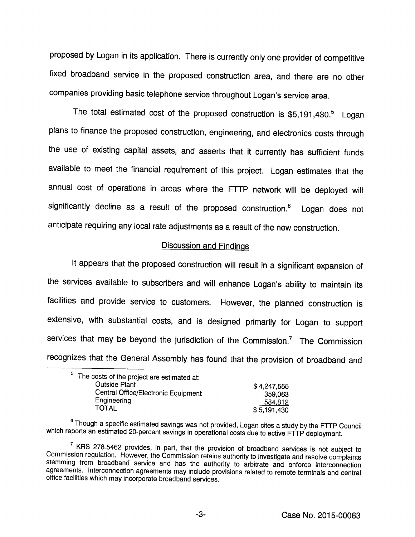proposed by Logan in its application. There is currently only one provider of competitive fixed broadband service in the proposed construction area, and there are no other companies providing basic teiephone service throughout Logan's service area.

The total estimated cost of the proposed construction is  $$5,191,430.<sup>5</sup>$  Logan plans to finance the proposed construction, engineering, and electronics costs through the use of existing capital assets, and asserts that it currently has sufficient funds available to meet the financial requirement of this project. Logan estimates that the annuai cost of operations in areas where the FTTP network will be deployed will significantly decline as a result of the proposed construction.<sup>6</sup> Logan does not anticipate requiring any local rate adjustments as a result of the new construction.

#### Discussion and Findings

It appears that the proposed construction will result in a significant expansion of the services available to subscribers and wili enhance Logan's ability to maintain its facilities and provide service to customers. However, the planned construction is extensive, with substantial costs, and is designed primarily for Logan to support services that may be beyond the jurisdiction of the Commission. $<sup>7</sup>$  The Commission</sup> recognizes that the Generai Assembiy has found that the provision of broadband and

| <sup>5</sup> The costs of the project are estimated at: |             |
|---------------------------------------------------------|-------------|
| <b>Outside Plant</b>                                    | \$4,247,555 |
| Central Office/Electronic Equipment                     | 359,063     |
| Engineering                                             | 584,812     |
| <b>TOTAL</b>                                            | \$5,191,430 |

<sup>&</sup>lt;sup>6</sup> Though a specific estimated savings was not provided, Logan cites a study by the FTTP Council which reports an estimated 20-percent savings in operational costs due to active FTTP deployment.

 $\frac{7}{1}$  KRS 278.5462 provides, in part, that the provision of broadband services is not subject to Commission regulation. However, the Commission retains authority to investigate and resolve complaints stemming from broadband service and has the authority to arbitrate and enforce interconnection agreements, interconnection agreements may include provisions related to remote terminals and central office facilities which may incorporate broadband services.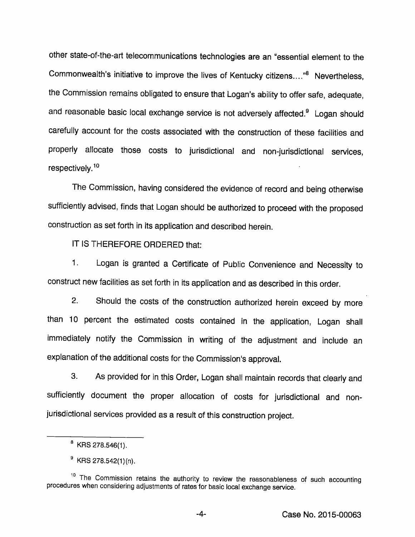other state-of-the-art telecommunications technologies are an "essential element to the Commonwealth's initiative to improve the lives of Kentucky citizens...."® Nevertheless, the Commission remains obligated to ensure that Logan's ability to offer safe, adequate, and reasonable basic local exchange service is not adversely affected.<sup>9</sup> Logan should carefully account for the costs associated with the construction of these facilities and properly allocate those costs to jurisdictional and non-jurisdictional services, respectively.<sup>10</sup>

The Commission, having considered the evidence of record and being otherwise sufficiently advised, finds that Logan should be authorized to proceed with the proposed construction as set forth in its application and described herein.

IT IS THEREFORE ORDERED that:

1. Logan is granted a Certificate of Public Convenience and Necessity to construct new facilities as set forth in its application and as described in this order.

2. Should the costs of the construction authorized herein exceed by more than 10 percent the estimated costs contained in the application, Logan shall immediately notify the Commission in writing of the adjustment and include an explanation of the additional costs for the Commission's approval.

3. As provided for in this Order, Logan shall maintain records that clearly and sufficiently document the proper allocation of costs for jurisdictional and nonjurisdictional services provided as a result of this construction project.

 $<sup>8</sup>$  KRS 278.546(1).</sup>

 $9$  KRS 278.542(1)(n).

<sup>&</sup>lt;sup>10</sup> The Commission retains the authority to review the reasonableness of such accounting procedures when considering adjustments of rates for basic local exchange service.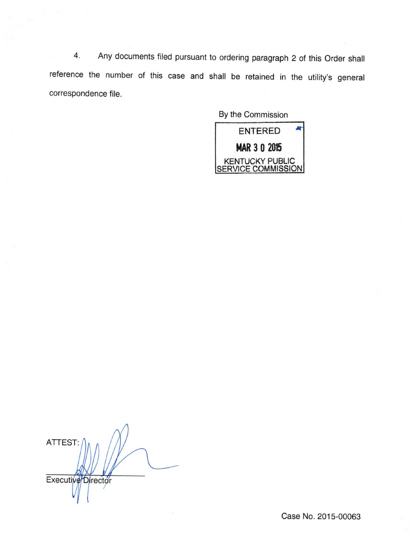4. Any documents filed pursuant to ordering paragraph 2 of this Order shall reference the number of this case and shall be retained in the utility's general correspondence file.

By the Commission



ATTEST: Executive<sup>D</sup>irector